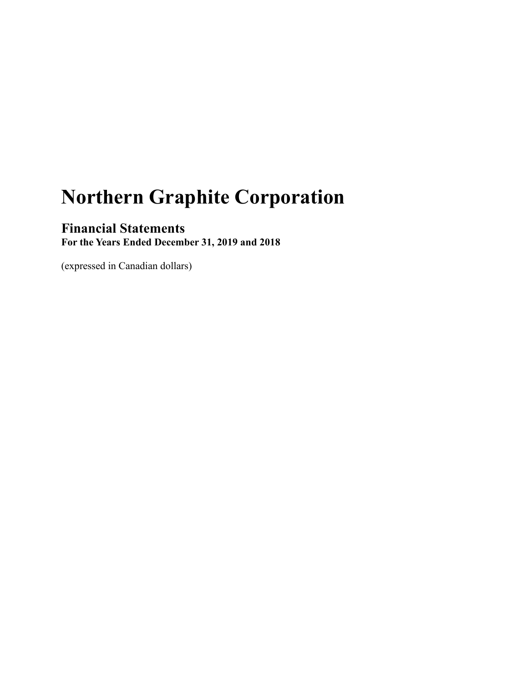# **Northern Graphite Corporation**

## **Financial Statements For the Years Ended December 31, 2019 and 2018**

(expressed in Canadian dollars)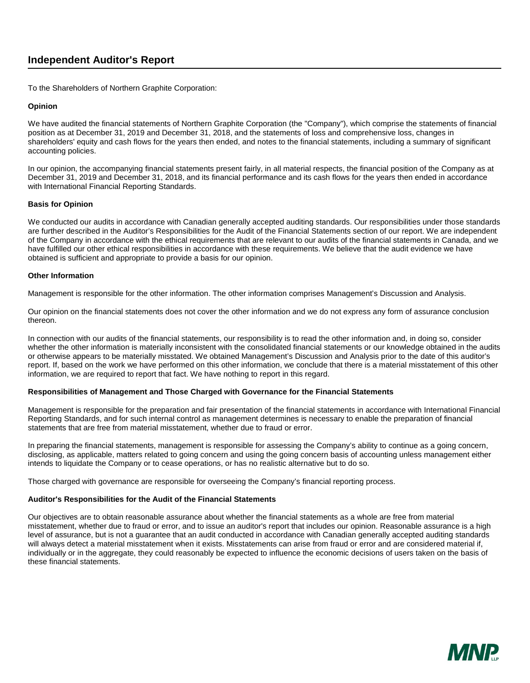### **Independent Auditor's Report**

To the Shareholders of Northern Graphite Corporation:

#### **Opinion**

We have audited the financial statements of Northern Graphite Corporation (the "Company"), which comprise the statements of financial position as at December 31, 2019 and December 31, 2018, and the statements of loss and comprehensive loss, changes in shareholders' equity and cash flows for the years then ended, and notes to the financial statements, including a summary of significant accounting policies.

In our opinion, the accompanying financial statements present fairly, in all material respects, the financial position of the Company as at December 31, 2019 and December 31, 2018, and its financial performance and its cash flows for the years then ended in accordance with International Financial Reporting Standards.

#### **Basis for Opinion**

We conducted our audits in accordance with Canadian generally accepted auditing standards. Our responsibilities under those standards are further described in the Auditor's Responsibilities for the Audit of the Financial Statements section of our report. We are independent of the Company in accordance with the ethical requirements that are relevant to our audits of the financial statements in Canada, and we have fulfilled our other ethical responsibilities in accordance with these requirements. We believe that the audit evidence we have obtained is sufficient and appropriate to provide a basis for our opinion.

#### **Other Information**

Management is responsible for the other information. The other information comprises Management's Discussion and Analysis.

Our opinion on the financial statements does not cover the other information and we do not express any form of assurance conclusion thereon.

In connection with our audits of the financial statements, our responsibility is to read the other information and, in doing so, consider whether the other information is materially inconsistent with the consolidated financial statements or our knowledge obtained in the audits or otherwise appears to be materially misstated. We obtained Management's Discussion and Analysis prior to the date of this auditor's report. If, based on the work we have performed on this other information, we conclude that there is a material misstatement of this other information, we are required to report that fact. We have nothing to report in this regard.

#### **Responsibilities of Management and Those Charged with Governance for the Financial Statements**

Management is responsible for the preparation and fair presentation of the financial statements in accordance with International Financial Reporting Standards, and for such internal control as management determines is necessary to enable the preparation of financial statements that are free from material misstatement, whether due to fraud or error.

In preparing the financial statements, management is responsible for assessing the Company's ability to continue as a going concern, disclosing, as applicable, matters related to going concern and using the going concern basis of accounting unless management either intends to liquidate the Company or to cease operations, or has no realistic alternative but to do so.

Those charged with governance are responsible for overseeing the Company's financial reporting process.

#### **Auditor's Responsibilities for the Audit of the Financial Statements**

Our objectives are to obtain reasonable assurance about whether the financial statements as a whole are free from material misstatement, whether due to fraud or error, and to issue an auditor's report that includes our opinion. Reasonable assurance is a high level of assurance, but is not a guarantee that an audit conducted in accordance with Canadian generally accepted auditing standards will always detect a material misstatement when it exists. Misstatements can arise from fraud or error and are considered material if, individually or in the aggregate, they could reasonably be expected to influence the economic decisions of users taken on the basis of these financial statements.

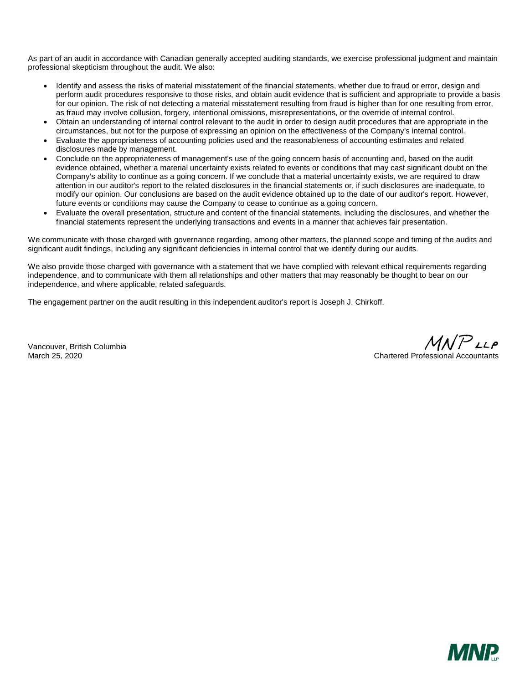As part of an audit in accordance with Canadian generally accepted auditing standards, we exercise professional judgment and maintain professional skepticism throughout the audit. We also:

- Identify and assess the risks of material misstatement of the financial statements, whether due to fraud or error, design and perform audit procedures responsive to those risks, and obtain audit evidence that is sufficient and appropriate to provide a basis for our opinion. The risk of not detecting a material misstatement resulting from fraud is higher than for one resulting from error, as fraud may involve collusion, forgery, intentional omissions, misrepresentations, or the override of internal control.
- Obtain an understanding of internal control relevant to the audit in order to design audit procedures that are appropriate in the circumstances, but not for the purpose of expressing an opinion on the effectiveness of the Company's internal control.
- Evaluate the appropriateness of accounting policies used and the reasonableness of accounting estimates and related disclosures made by management.
- Conclude on the appropriateness of management's use of the going concern basis of accounting and, based on the audit evidence obtained, whether a material uncertainty exists related to events or conditions that may cast significant doubt on the Company's ability to continue as a going concern. If we conclude that a material uncertainty exists, we are required to draw attention in our auditor's report to the related disclosures in the financial statements or, if such disclosures are inadequate, to modify our opinion. Our conclusions are based on the audit evidence obtained up to the date of our auditor's report. However, future events or conditions may cause the Company to cease to continue as a going concern.
- Evaluate the overall presentation, structure and content of the financial statements, including the disclosures, and whether the financial statements represent the underlying transactions and events in a manner that achieves fair presentation.

We communicate with those charged with governance regarding, among other matters, the planned scope and timing of the audits and significant audit findings, including any significant deficiencies in internal control that we identify during our audits.

We also provide those charged with governance with a statement that we have complied with relevant ethical requirements regarding independence, and to communicate with them all relationships and other matters that may reasonably be thought to bear on our independence, and where applicable, related safeguards.

The engagement partner on the audit resulting in this independent auditor's report is Joseph J. Chirkoff.

Vancouver, British Columbia<br>March 25, 2020

 $MINPLP$ Chartered Professional Accountants

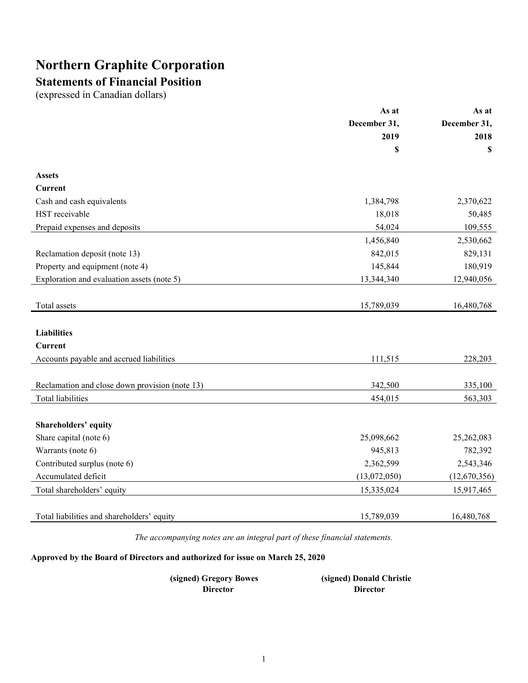## **Northern Graphite Corporation**

### **Statements of Financial Position**

(expressed in Canadian dollars)

|                                                | As at        | As at        |
|------------------------------------------------|--------------|--------------|
|                                                | December 31, | December 31, |
|                                                | 2019         | 2018         |
|                                                | \$           | $\mathbf S$  |
| <b>Assets</b>                                  |              |              |
| Current                                        |              |              |
| Cash and cash equivalents                      | 1,384,798    | 2,370,622    |
| HST receivable                                 | 18,018       | 50,485       |
| Prepaid expenses and deposits                  | 54,024       | 109,555      |
|                                                | 1,456,840    | 2,530,662    |
| Reclamation deposit (note 13)                  | 842,015      | 829,131      |
| Property and equipment (note 4)                | 145,844      | 180,919      |
| Exploration and evaluation assets (note 5)     | 13,344,340   | 12,940,056   |
|                                                |              |              |
| Total assets                                   | 15,789,039   | 16,480,768   |
| <b>Liabilities</b>                             |              |              |
| <b>Current</b>                                 |              |              |
|                                                |              |              |
| Accounts payable and accrued liabilities       | 111,515      | 228,203      |
| Reclamation and close down provision (note 13) | 342,500      | 335,100      |
| <b>Total liabilities</b>                       | 454,015      | 563,303      |
|                                                |              |              |
| <b>Shareholders' equity</b>                    |              |              |
| Share capital (note 6)                         | 25,098,662   | 25,262,083   |
| Warrants (note 6)                              | 945,813      | 782,392      |
| Contributed surplus (note 6)                   | 2,362,599    | 2,543,346    |
| Accumulated deficit                            | (13,072,050) | (12,670,356) |
| Total shareholders' equity                     | 15,335,024   | 15,917,465   |
|                                                |              |              |
| Total liabilities and shareholders' equity     | 15,789,039   | 16,480,768   |

*The accompanying notes are an integral part of these financial statements.*

**Approved by the Board of Directors and authorized for issue on March 25, 2020**

**(signed) Gregory Bowes (signed) Donald Christie Director Director**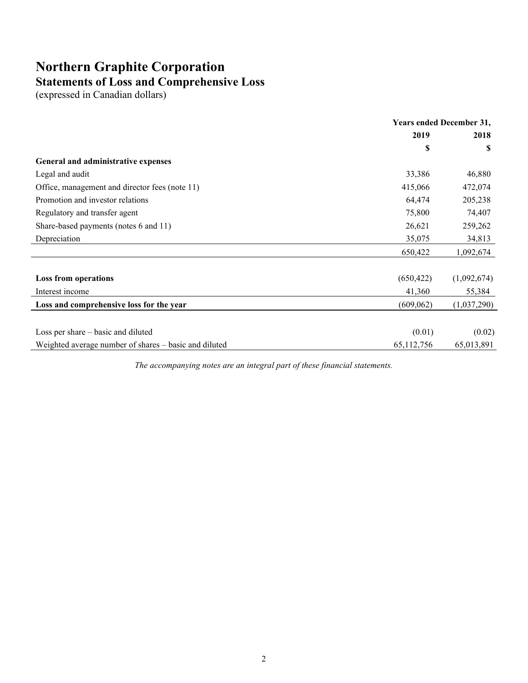# **Northern Graphite Corporation**

**Statements of Loss and Comprehensive Loss**

(expressed in Canadian dollars)

| <b>Years ended December 31,</b>                                     |             |
|---------------------------------------------------------------------|-------------|
| 2019                                                                | 2018        |
| \$                                                                  | \$          |
| General and administrative expenses                                 |             |
| Legal and audit<br>33,386                                           | 46,880      |
| 415,066<br>Office, management and director fees (note 11)           | 472,074     |
| Promotion and investor relations<br>64,474                          | 205,238     |
| 75,800<br>Regulatory and transfer agent                             | 74,407      |
| 26,621<br>Share-based payments (notes 6 and 11)                     | 259,262     |
| 35,075<br>Depreciation                                              | 34,813      |
| 650,422                                                             | 1,092,674   |
| (650, 422)<br><b>Loss from operations</b>                           | (1,092,674) |
| Interest income<br>41,360                                           | 55,384      |
| Loss and comprehensive loss for the year<br>(609,062)               | (1,037,290) |
|                                                                     |             |
| Loss per share – basic and diluted<br>(0.01)                        | (0.02)      |
| Weighted average number of shares - basic and diluted<br>65,112,756 | 65,013,891  |

*The accompanying notes are an integral part of these financial statements.*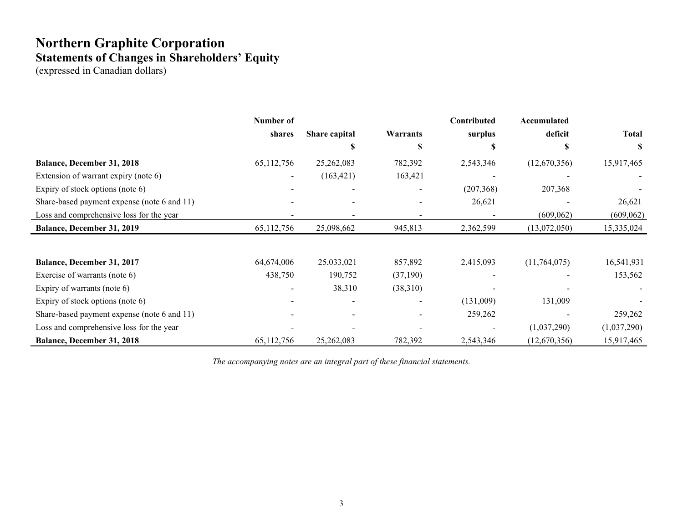## **Northern Graphite Corporation Statements of Changes in Shareholders' Equity**

(expressed in Canadian dollars)

|                                             | Number of    |               |          | Contributed | Accumulated  |              |
|---------------------------------------------|--------------|---------------|----------|-------------|--------------|--------------|
|                                             | shares       | Share capital | Warrants | surplus     | deficit      | <b>Total</b> |
|                                             |              | S             | ъ        | S           |              | S            |
| <b>Balance, December 31, 2018</b>           | 65,112,756   | 25,262,083    | 782,392  | 2,543,346   | (12,670,356) | 15,917,465   |
| Extension of warrant expiry (note 6)        |              | (163, 421)    | 163,421  |             |              |              |
| Expiry of stock options (note 6)            |              |               |          | (207, 368)  | 207,368      |              |
| Share-based payment expense (note 6 and 11) |              |               |          | 26,621      |              | 26,621       |
| Loss and comprehensive loss for the year    |              |               |          |             | (609,062)    | (609, 062)   |
| Balance, December 31, 2019                  | 65, 112, 756 | 25,098,662    | 945,813  | 2,362,599   | (13,072,050) | 15,335,024   |
|                                             |              |               |          |             |              |              |
| Balance, December 31, 2017                  | 64,674,006   | 25,033,021    | 857,892  | 2,415,093   | (11,764,075) | 16,541,931   |
| Exercise of warrants (note 6)               | 438,750      | 190,752       | (37,190) |             |              | 153,562      |
| Expiry of warrants (note 6)                 |              | 38,310        | (38,310) |             |              |              |
| Expiry of stock options (note 6)            |              |               |          | (131,009)   | 131,009      |              |
| Share-based payment expense (note 6 and 11) |              |               |          | 259,262     |              | 259,262      |
| Loss and comprehensive loss for the year    |              |               |          |             | (1,037,290)  | (1,037,290)  |
| Balance, December 31, 2018                  | 65, 112, 756 | 25,262,083    | 782,392  | 2,543,346   | (12,670,356) | 15,917,465   |

*The accompanying notes are an integral part of these financial statements.*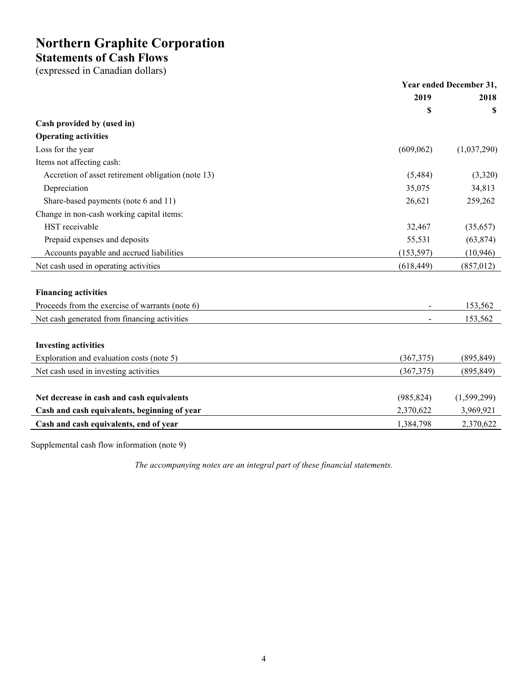## **Northern Graphite Corporation**

**Statements of Cash Flows**

(expressed in Canadian dollars)

| 2019<br>2018<br>\$<br>S<br>Cash provided by (used in)<br><b>Operating activities</b><br>Loss for the year<br>(609,062)<br>(1,037,290)<br>Items not affecting cash:<br>Accretion of asset retirement obligation (note 13)<br>(5,484)<br>(3,320)<br>Depreciation<br>35,075<br>34,813<br>Share-based payments (note 6 and 11)<br>26,621<br>259,262<br>Change in non-cash working capital items:<br>HST receivable<br>32,467<br>(35,657)<br>Prepaid expenses and deposits<br>55,531<br>(63, 874)<br>Accounts payable and accrued liabilities<br>(153, 597)<br>(10, 946)<br>Net cash used in operating activities<br>(618, 449)<br>(857, 012)<br><b>Financing activities</b><br>Proceeds from the exercise of warrants (note 6)<br>153,562<br>Net cash generated from financing activities<br>153,562<br><b>Investing activities</b><br>Exploration and evaluation costs (note 5)<br>(367, 375)<br>(895, 849)<br>Net cash used in investing activities<br>(367,375)<br>(895, 849)<br>Net decrease in cash and cash equivalents<br>(985, 824)<br>(1,599,299)<br>Cash and cash equivalents, beginning of year<br>2,370,622<br>3,969,921 |                                        | Year ended December 31, |           |  |
|----------------------------------------------------------------------------------------------------------------------------------------------------------------------------------------------------------------------------------------------------------------------------------------------------------------------------------------------------------------------------------------------------------------------------------------------------------------------------------------------------------------------------------------------------------------------------------------------------------------------------------------------------------------------------------------------------------------------------------------------------------------------------------------------------------------------------------------------------------------------------------------------------------------------------------------------------------------------------------------------------------------------------------------------------------------------------------------------------------------------------------|----------------------------------------|-------------------------|-----------|--|
|                                                                                                                                                                                                                                                                                                                                                                                                                                                                                                                                                                                                                                                                                                                                                                                                                                                                                                                                                                                                                                                                                                                                  |                                        |                         |           |  |
|                                                                                                                                                                                                                                                                                                                                                                                                                                                                                                                                                                                                                                                                                                                                                                                                                                                                                                                                                                                                                                                                                                                                  |                                        |                         |           |  |
|                                                                                                                                                                                                                                                                                                                                                                                                                                                                                                                                                                                                                                                                                                                                                                                                                                                                                                                                                                                                                                                                                                                                  |                                        |                         |           |  |
|                                                                                                                                                                                                                                                                                                                                                                                                                                                                                                                                                                                                                                                                                                                                                                                                                                                                                                                                                                                                                                                                                                                                  |                                        |                         |           |  |
|                                                                                                                                                                                                                                                                                                                                                                                                                                                                                                                                                                                                                                                                                                                                                                                                                                                                                                                                                                                                                                                                                                                                  |                                        |                         |           |  |
|                                                                                                                                                                                                                                                                                                                                                                                                                                                                                                                                                                                                                                                                                                                                                                                                                                                                                                                                                                                                                                                                                                                                  |                                        |                         |           |  |
|                                                                                                                                                                                                                                                                                                                                                                                                                                                                                                                                                                                                                                                                                                                                                                                                                                                                                                                                                                                                                                                                                                                                  |                                        |                         |           |  |
|                                                                                                                                                                                                                                                                                                                                                                                                                                                                                                                                                                                                                                                                                                                                                                                                                                                                                                                                                                                                                                                                                                                                  |                                        |                         |           |  |
|                                                                                                                                                                                                                                                                                                                                                                                                                                                                                                                                                                                                                                                                                                                                                                                                                                                                                                                                                                                                                                                                                                                                  |                                        |                         |           |  |
|                                                                                                                                                                                                                                                                                                                                                                                                                                                                                                                                                                                                                                                                                                                                                                                                                                                                                                                                                                                                                                                                                                                                  |                                        |                         |           |  |
|                                                                                                                                                                                                                                                                                                                                                                                                                                                                                                                                                                                                                                                                                                                                                                                                                                                                                                                                                                                                                                                                                                                                  |                                        |                         |           |  |
|                                                                                                                                                                                                                                                                                                                                                                                                                                                                                                                                                                                                                                                                                                                                                                                                                                                                                                                                                                                                                                                                                                                                  |                                        |                         |           |  |
|                                                                                                                                                                                                                                                                                                                                                                                                                                                                                                                                                                                                                                                                                                                                                                                                                                                                                                                                                                                                                                                                                                                                  |                                        |                         |           |  |
|                                                                                                                                                                                                                                                                                                                                                                                                                                                                                                                                                                                                                                                                                                                                                                                                                                                                                                                                                                                                                                                                                                                                  |                                        |                         |           |  |
|                                                                                                                                                                                                                                                                                                                                                                                                                                                                                                                                                                                                                                                                                                                                                                                                                                                                                                                                                                                                                                                                                                                                  |                                        |                         |           |  |
|                                                                                                                                                                                                                                                                                                                                                                                                                                                                                                                                                                                                                                                                                                                                                                                                                                                                                                                                                                                                                                                                                                                                  |                                        |                         |           |  |
|                                                                                                                                                                                                                                                                                                                                                                                                                                                                                                                                                                                                                                                                                                                                                                                                                                                                                                                                                                                                                                                                                                                                  |                                        |                         |           |  |
|                                                                                                                                                                                                                                                                                                                                                                                                                                                                                                                                                                                                                                                                                                                                                                                                                                                                                                                                                                                                                                                                                                                                  |                                        |                         |           |  |
|                                                                                                                                                                                                                                                                                                                                                                                                                                                                                                                                                                                                                                                                                                                                                                                                                                                                                                                                                                                                                                                                                                                                  |                                        |                         |           |  |
|                                                                                                                                                                                                                                                                                                                                                                                                                                                                                                                                                                                                                                                                                                                                                                                                                                                                                                                                                                                                                                                                                                                                  |                                        |                         |           |  |
|                                                                                                                                                                                                                                                                                                                                                                                                                                                                                                                                                                                                                                                                                                                                                                                                                                                                                                                                                                                                                                                                                                                                  |                                        |                         |           |  |
|                                                                                                                                                                                                                                                                                                                                                                                                                                                                                                                                                                                                                                                                                                                                                                                                                                                                                                                                                                                                                                                                                                                                  |                                        |                         |           |  |
|                                                                                                                                                                                                                                                                                                                                                                                                                                                                                                                                                                                                                                                                                                                                                                                                                                                                                                                                                                                                                                                                                                                                  |                                        |                         |           |  |
|                                                                                                                                                                                                                                                                                                                                                                                                                                                                                                                                                                                                                                                                                                                                                                                                                                                                                                                                                                                                                                                                                                                                  |                                        |                         |           |  |
|                                                                                                                                                                                                                                                                                                                                                                                                                                                                                                                                                                                                                                                                                                                                                                                                                                                                                                                                                                                                                                                                                                                                  |                                        |                         |           |  |
|                                                                                                                                                                                                                                                                                                                                                                                                                                                                                                                                                                                                                                                                                                                                                                                                                                                                                                                                                                                                                                                                                                                                  | Cash and cash equivalents, end of year | 1,384,798               | 2,370,622 |  |

Supplemental cash flow information (note 9)

*The accompanying notes are an integral part of these financial statements.*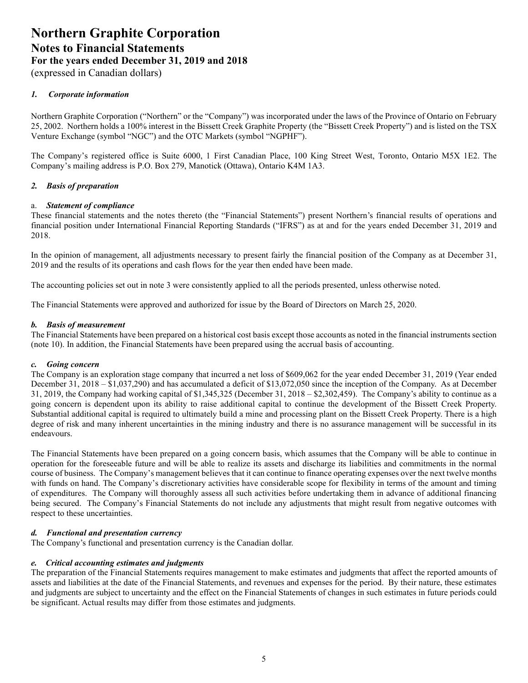(expressed in Canadian dollars)

#### *1. Corporate information*

Northern Graphite Corporation ("Northern" or the "Company") was incorporated under the laws of the Province of Ontario on February 25, 2002. Northern holds a 100% interest in the Bissett Creek Graphite Property (the "Bissett Creek Property") and is listed on the TSX Venture Exchange (symbol "NGC") and the OTC Markets (symbol "NGPHF").

The Company's registered office is Suite 6000, 1 First Canadian Place, 100 King Street West, Toronto, Ontario M5X 1E2. The Company's mailing address is P.O. Box 279, Manotick (Ottawa), Ontario K4M 1A3.

#### *2. Basis of preparation*

#### a. *Statement of compliance*

These financial statements and the notes thereto (the "Financial Statements") present Northern's financial results of operations and financial position under International Financial Reporting Standards ("IFRS") as at and for the years ended December 31, 2019 and 2018.

In the opinion of management, all adjustments necessary to present fairly the financial position of the Company as at December 31, 2019 and the results of its operations and cash flows for the year then ended have been made.

The accounting policies set out in note 3 were consistently applied to all the periods presented, unless otherwise noted.

The Financial Statements were approved and authorized for issue by the Board of Directors on March 25, 2020.

#### *b. Basis of measurement*

The Financial Statements have been prepared on a historical cost basis except those accounts as noted in the financial instruments section (note 10). In addition, the Financial Statements have been prepared using the accrual basis of accounting.

#### *c. Going concern*

The Company is an exploration stage company that incurred a net loss of \$609,062 for the year ended December 31, 2019 (Year ended December 31, 2018 – \$1,037,290) and has accumulated a deficit of \$13,072,050 since the inception of the Company. As at December 31, 2019, the Company had working capital of \$1,345,325 (December 31, 2018 – \$2,302,459). The Company's ability to continue as a going concern is dependent upon its ability to raise additional capital to continue the development of the Bissett Creek Property. Substantial additional capital is required to ultimately build a mine and processing plant on the Bissett Creek Property. There is a high degree of risk and many inherent uncertainties in the mining industry and there is no assurance management will be successful in its endeavours.

The Financial Statements have been prepared on a going concern basis, which assumes that the Company will be able to continue in operation for the foreseeable future and will be able to realize its assets and discharge its liabilities and commitments in the normal course of business. The Company's management believes that it can continue to finance operating expenses over the next twelve months with funds on hand. The Company's discretionary activities have considerable scope for flexibility in terms of the amount and timing of expenditures. The Company will thoroughly assess all such activities before undertaking them in advance of additional financing being secured. The Company's Financial Statements do not include any adjustments that might result from negative outcomes with respect to these uncertainties.

#### *d. Functional and presentation currency*

The Company's functional and presentation currency is the Canadian dollar.

#### *e. Critical accounting estimates and judgments*

The preparation of the Financial Statements requires management to make estimates and judgments that affect the reported amounts of assets and liabilities at the date of the Financial Statements, and revenues and expenses for the period. By their nature, these estimates and judgments are subject to uncertainty and the effect on the Financial Statements of changes in such estimates in future periods could be significant. Actual results may differ from those estimates and judgments.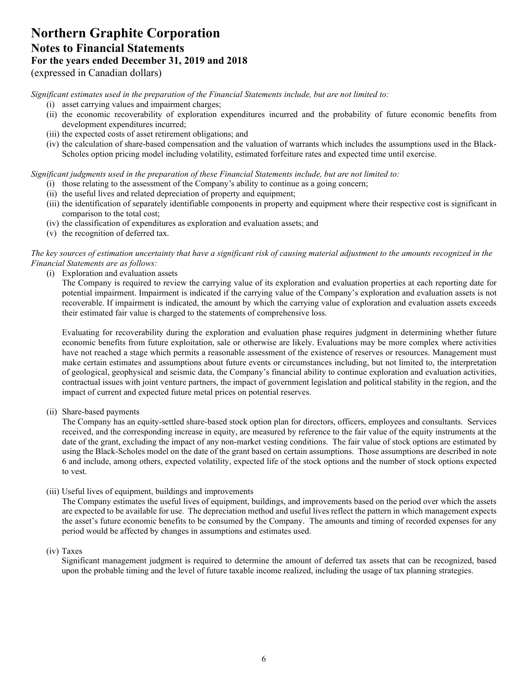## **Northern Graphite Corporation Notes to Financial Statements**

### **For the years ended December 31, 2019 and 2018**

(expressed in Canadian dollars)

*Significant estimates used in the preparation of the Financial Statements include, but are not limited to:* 

- (i) asset carrying values and impairment charges;
- (ii) the economic recoverability of exploration expenditures incurred and the probability of future economic benefits from development expenditures incurred;
- (iii) the expected costs of asset retirement obligations; and
- (iv) the calculation of share-based compensation and the valuation of warrants which includes the assumptions used in the Black-Scholes option pricing model including volatility, estimated forfeiture rates and expected time until exercise.

*Significant judgments used in the preparation of these Financial Statements include, but are not limited to:* 

- (i) those relating to the assessment of the Company's ability to continue as a going concern;
- (ii) the useful lives and related depreciation of property and equipment;
- (iii) the identification of separately identifiable components in property and equipment where their respective cost is significant in comparison to the total cost;
- (iv) the classification of expenditures as exploration and evaluation assets; and
- (v) the recognition of deferred tax.

#### *The key sources of estimation uncertainty that have a significant risk of causing material adjustment to the amounts recognized in the Financial Statements are as follows:*

(i) Exploration and evaluation assets

The Company is required to review the carrying value of its exploration and evaluation properties at each reporting date for potential impairment. Impairment is indicated if the carrying value of the Company's exploration and evaluation assets is not recoverable. If impairment is indicated, the amount by which the carrying value of exploration and evaluation assets exceeds their estimated fair value is charged to the statements of comprehensive loss.

Evaluating for recoverability during the exploration and evaluation phase requires judgment in determining whether future economic benefits from future exploitation, sale or otherwise are likely. Evaluations may be more complex where activities have not reached a stage which permits a reasonable assessment of the existence of reserves or resources. Management must make certain estimates and assumptions about future events or circumstances including, but not limited to, the interpretation of geological, geophysical and seismic data, the Company's financial ability to continue exploration and evaluation activities, contractual issues with joint venture partners, the impact of government legislation and political stability in the region, and the impact of current and expected future metal prices on potential reserves.

(ii) Share-based payments

The Company has an equity-settled share-based stock option plan for directors, officers, employees and consultants. Services received, and the corresponding increase in equity, are measured by reference to the fair value of the equity instruments at the date of the grant, excluding the impact of any non-market vesting conditions. The fair value of stock options are estimated by using the Black-Scholes model on the date of the grant based on certain assumptions. Those assumptions are described in note 6 and include, among others, expected volatility, expected life of the stock options and the number of stock options expected to vest.

#### (iii) Useful lives of equipment, buildings and improvements

The Company estimates the useful lives of equipment, buildings, and improvements based on the period over which the assets are expected to be available for use. The depreciation method and useful lives reflect the pattern in which management expects the asset's future economic benefits to be consumed by the Company. The amounts and timing of recorded expenses for any period would be affected by changes in assumptions and estimates used.

#### (iv) Taxes

Significant management judgment is required to determine the amount of deferred tax assets that can be recognized, based upon the probable timing and the level of future taxable income realized, including the usage of tax planning strategies.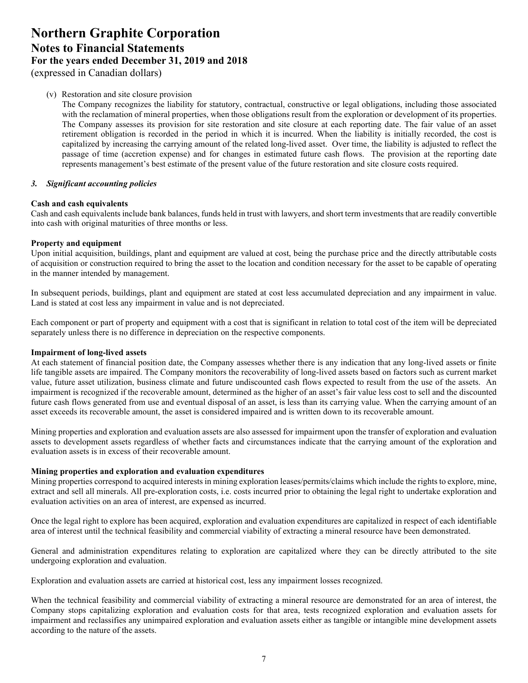## **Northern Graphite Corporation Notes to Financial Statements**

### **For the years ended December 31, 2019 and 2018**

(expressed in Canadian dollars)

### (v) Restoration and site closure provision

The Company recognizes the liability for statutory, contractual, constructive or legal obligations, including those associated with the reclamation of mineral properties, when those obligations result from the exploration or development of its properties. The Company assesses its provision for site restoration and site closure at each reporting date. The fair value of an asset retirement obligation is recorded in the period in which it is incurred. When the liability is initially recorded, the cost is capitalized by increasing the carrying amount of the related long-lived asset. Over time, the liability is adjusted to reflect the passage of time (accretion expense) and for changes in estimated future cash flows. The provision at the reporting date represents management's best estimate of the present value of the future restoration and site closure costs required.

### *3. Significant accounting policies*

### **Cash and cash equivalents**

Cash and cash equivalents include bank balances, funds held in trust with lawyers, and short term investments that are readily convertible into cash with original maturities of three months or less.

#### **Property and equipment**

Upon initial acquisition, buildings, plant and equipment are valued at cost, being the purchase price and the directly attributable costs of acquisition or construction required to bring the asset to the location and condition necessary for the asset to be capable of operating in the manner intended by management.

In subsequent periods, buildings, plant and equipment are stated at cost less accumulated depreciation and any impairment in value. Land is stated at cost less any impairment in value and is not depreciated.

Each component or part of property and equipment with a cost that is significant in relation to total cost of the item will be depreciated separately unless there is no difference in depreciation on the respective components.

#### **Impairment of long-lived assets**

At each statement of financial position date, the Company assesses whether there is any indication that any long-lived assets or finite life tangible assets are impaired. The Company monitors the recoverability of long-lived assets based on factors such as current market value, future asset utilization, business climate and future undiscounted cash flows expected to result from the use of the assets. An impairment is recognized if the recoverable amount, determined as the higher of an asset's fair value less cost to sell and the discounted future cash flows generated from use and eventual disposal of an asset, is less than its carrying value. When the carrying amount of an asset exceeds its recoverable amount, the asset is considered impaired and is written down to its recoverable amount.

Mining properties and exploration and evaluation assets are also assessed for impairment upon the transfer of exploration and evaluation assets to development assets regardless of whether facts and circumstances indicate that the carrying amount of the exploration and evaluation assets is in excess of their recoverable amount.

#### **Mining properties and exploration and evaluation expenditures**

Mining properties correspond to acquired interests in mining exploration leases/permits/claims which include the rights to explore, mine, extract and sell all minerals. All pre-exploration costs, i.e. costs incurred prior to obtaining the legal right to undertake exploration and evaluation activities on an area of interest, are expensed as incurred.

Once the legal right to explore has been acquired, exploration and evaluation expenditures are capitalized in respect of each identifiable area of interest until the technical feasibility and commercial viability of extracting a mineral resource have been demonstrated.

General and administration expenditures relating to exploration are capitalized where they can be directly attributed to the site undergoing exploration and evaluation.

Exploration and evaluation assets are carried at historical cost, less any impairment losses recognized.

When the technical feasibility and commercial viability of extracting a mineral resource are demonstrated for an area of interest, the Company stops capitalizing exploration and evaluation costs for that area, tests recognized exploration and evaluation assets for impairment and reclassifies any unimpaired exploration and evaluation assets either as tangible or intangible mine development assets according to the nature of the assets.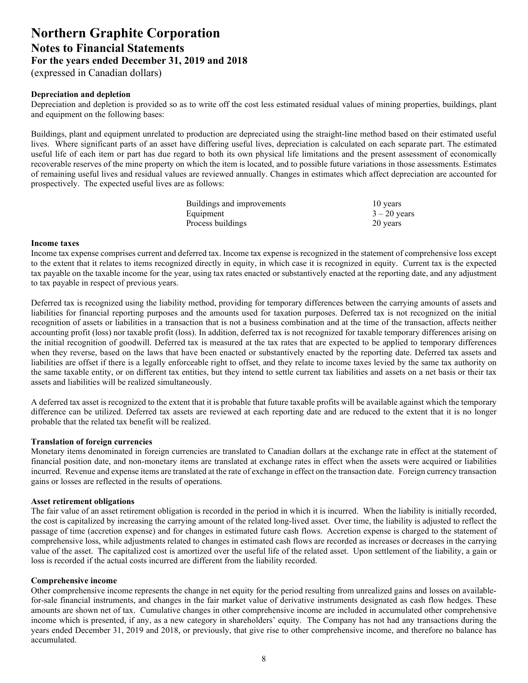(expressed in Canadian dollars)

#### **Depreciation and depletion**

Depreciation and depletion is provided so as to write off the cost less estimated residual values of mining properties, buildings, plant and equipment on the following bases:

Buildings, plant and equipment unrelated to production are depreciated using the straight-line method based on their estimated useful lives. Where significant parts of an asset have differing useful lives, depreciation is calculated on each separate part. The estimated useful life of each item or part has due regard to both its own physical life limitations and the present assessment of economically recoverable reserves of the mine property on which the item is located, and to possible future variations in those assessments. Estimates of remaining useful lives and residual values are reviewed annually. Changes in estimates which affect depreciation are accounted for prospectively. The expected useful lives are as follows:

| Buildings and improvements | 10 years       |
|----------------------------|----------------|
| Equipment                  | $3 - 20$ years |
| Process buildings          | 20 years       |

#### **Income taxes**

Income tax expense comprises current and deferred tax. Income tax expense is recognized in the statement of comprehensive loss except to the extent that it relates to items recognized directly in equity, in which case it is recognized in equity. Current tax is the expected tax payable on the taxable income for the year, using tax rates enacted or substantively enacted at the reporting date, and any adjustment to tax payable in respect of previous years.

Deferred tax is recognized using the liability method, providing for temporary differences between the carrying amounts of assets and liabilities for financial reporting purposes and the amounts used for taxation purposes. Deferred tax is not recognized on the initial recognition of assets or liabilities in a transaction that is not a business combination and at the time of the transaction, affects neither accounting profit (loss) nor taxable profit (loss). In addition, deferred tax is not recognized for taxable temporary differences arising on the initial recognition of goodwill. Deferred tax is measured at the tax rates that are expected to be applied to temporary differences when they reverse, based on the laws that have been enacted or substantively enacted by the reporting date. Deferred tax assets and liabilities are offset if there is a legally enforceable right to offset, and they relate to income taxes levied by the same tax authority on the same taxable entity, or on different tax entities, but they intend to settle current tax liabilities and assets on a net basis or their tax assets and liabilities will be realized simultaneously.

A deferred tax asset is recognized to the extent that it is probable that future taxable profits will be available against which the temporary difference can be utilized. Deferred tax assets are reviewed at each reporting date and are reduced to the extent that it is no longer probable that the related tax benefit will be realized.

#### **Translation of foreign currencies**

Monetary items denominated in foreign currencies are translated to Canadian dollars at the exchange rate in effect at the statement of financial position date, and non-monetary items are translated at exchange rates in effect when the assets were acquired or liabilities incurred. Revenue and expense items are translated at the rate of exchange in effect on the transaction date. Foreign currency transaction gains or losses are reflected in the results of operations.

#### **Asset retirement obligations**

The fair value of an asset retirement obligation is recorded in the period in which it is incurred. When the liability is initially recorded, the cost is capitalized by increasing the carrying amount of the related long-lived asset. Over time, the liability is adjusted to reflect the passage of time (accretion expense) and for changes in estimated future cash flows. Accretion expense is charged to the statement of comprehensive loss, while adjustments related to changes in estimated cash flows are recorded as increases or decreases in the carrying value of the asset. The capitalized cost is amortized over the useful life of the related asset. Upon settlement of the liability, a gain or loss is recorded if the actual costs incurred are different from the liability recorded.

#### **Comprehensive income**

Other comprehensive income represents the change in net equity for the period resulting from unrealized gains and losses on availablefor-sale financial instruments, and changes in the fair market value of derivative instruments designated as cash flow hedges. These amounts are shown net of tax. Cumulative changes in other comprehensive income are included in accumulated other comprehensive income which is presented, if any, as a new category in shareholders' equity. The Company has not had any transactions during the years ended December 31, 2019 and 2018, or previously, that give rise to other comprehensive income, and therefore no balance has accumulated.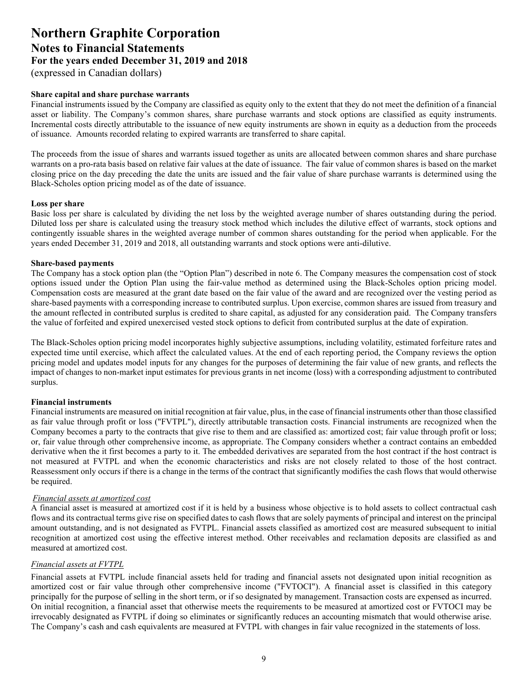(expressed in Canadian dollars)

#### **Share capital and share purchase warrants**

Financial instruments issued by the Company are classified as equity only to the extent that they do not meet the definition of a financial asset or liability. The Company's common shares, share purchase warrants and stock options are classified as equity instruments. Incremental costs directly attributable to the issuance of new equity instruments are shown in equity as a deduction from the proceeds of issuance. Amounts recorded relating to expired warrants are transferred to share capital.

The proceeds from the issue of shares and warrants issued together as units are allocated between common shares and share purchase warrants on a pro-rata basis based on relative fair values at the date of issuance. The fair value of common shares is based on the market closing price on the day preceding the date the units are issued and the fair value of share purchase warrants is determined using the Black-Scholes option pricing model as of the date of issuance.

#### **Loss per share**

Basic loss per share is calculated by dividing the net loss by the weighted average number of shares outstanding during the period. Diluted loss per share is calculated using the treasury stock method which includes the dilutive effect of warrants, stock options and contingently issuable shares in the weighted average number of common shares outstanding for the period when applicable. For the years ended December 31, 2019 and 2018, all outstanding warrants and stock options were anti-dilutive.

#### **Share-based payments**

The Company has a stock option plan (the "Option Plan") described in note 6. The Company measures the compensation cost of stock options issued under the Option Plan using the fair-value method as determined using the Black-Scholes option pricing model. Compensation costs are measured at the grant date based on the fair value of the award and are recognized over the vesting period as share-based payments with a corresponding increase to contributed surplus. Upon exercise, common shares are issued from treasury and the amount reflected in contributed surplus is credited to share capital, as adjusted for any consideration paid. The Company transfers the value of forfeited and expired unexercised vested stock options to deficit from contributed surplus at the date of expiration.

The Black-Scholes option pricing model incorporates highly subjective assumptions, including volatility, estimated forfeiture rates and expected time until exercise, which affect the calculated values. At the end of each reporting period, the Company reviews the option pricing model and updates model inputs for any changes for the purposes of determining the fair value of new grants, and reflects the impact of changes to non-market input estimates for previous grants in net income (loss) with a corresponding adjustment to contributed surplus.

#### **Financial instruments**

Financial instruments are measured on initial recognition at fair value, plus, in the case of financial instruments other than those classified as fair value through profit or loss ("FVTPL"), directly attributable transaction costs. Financial instruments are recognized when the Company becomes a party to the contracts that give rise to them and are classified as: amortized cost; fair value through profit or loss; or, fair value through other comprehensive income, as appropriate. The Company considers whether a contract contains an embedded derivative when the it first becomes a party to it. The embedded derivatives are separated from the host contract if the host contract is not measured at FVTPL and when the economic characteristics and risks are not closely related to those of the host contract. Reassessment only occurs if there is a change in the terms of the contract that significantly modifies the cash flows that would otherwise be required.

#### *Financial assets at amortized cost*

A financial asset is measured at amortized cost if it is held by a business whose objective is to hold assets to collect contractual cash flows and its contractual terms give rise on specified dates to cash flows that are solely payments of principal and interest on the principal amount outstanding, and is not designated as FVTPL. Financial assets classified as amortized cost are measured subsequent to initial recognition at amortized cost using the effective interest method. Other receivables and reclamation deposits are classified as and measured at amortized cost.

#### *Financial assets at FVTPL*

Financial assets at FVTPL include financial assets held for trading and financial assets not designated upon initial recognition as amortized cost or fair value through other comprehensive income ("FVTOCI"). A financial asset is classified in this category principally for the purpose of selling in the short term, or if so designated by management. Transaction costs are expensed as incurred. On initial recognition, a financial asset that otherwise meets the requirements to be measured at amortized cost or FVTOCI may be irrevocably designated as FVTPL if doing so eliminates or significantly reduces an accounting mismatch that would otherwise arise. The Company's cash and cash equivalents are measured at FVTPL with changes in fair value recognized in the statements of loss.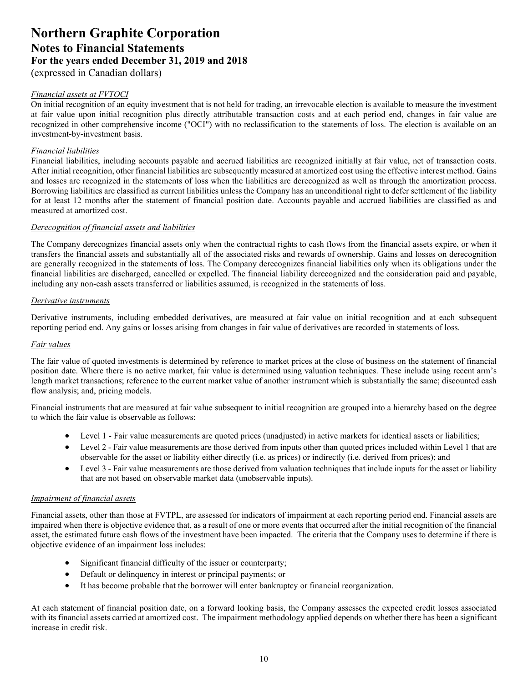### **Northern Graphite Corporation Notes to Financial Statements For the years ended December 31, 2019 and 2018** (expressed in Canadian dollars)

#### *Financial assets at FVTOCI*

On initial recognition of an equity investment that is not held for trading, an irrevocable election is available to measure the investment at fair value upon initial recognition plus directly attributable transaction costs and at each period end, changes in fair value are recognized in other comprehensive income ("OCI") with no reclassification to the statements of loss. The election is available on an investment-by-investment basis.

#### *Financial liabilities*

Financial liabilities, including accounts payable and accrued liabilities are recognized initially at fair value, net of transaction costs. After initial recognition, other financial liabilities are subsequently measured at amortized cost using the effective interest method. Gains and losses are recognized in the statements of loss when the liabilities are derecognized as well as through the amortization process. Borrowing liabilities are classified as current liabilities unless the Company has an unconditional right to defer settlement of the liability for at least 12 months after the statement of financial position date. Accounts payable and accrued liabilities are classified as and measured at amortized cost.

#### *Derecognition of financial assets and liabilities*

The Company derecognizes financial assets only when the contractual rights to cash flows from the financial assets expire, or when it transfers the financial assets and substantially all of the associated risks and rewards of ownership. Gains and losses on derecognition are generally recognized in the statements of loss. The Company derecognizes financial liabilities only when its obligations under the financial liabilities are discharged, cancelled or expelled. The financial liability derecognized and the consideration paid and payable, including any non-cash assets transferred or liabilities assumed, is recognized in the statements of loss.

#### *Derivative instruments*

Derivative instruments, including embedded derivatives, are measured at fair value on initial recognition and at each subsequent reporting period end. Any gains or losses arising from changes in fair value of derivatives are recorded in statements of loss.

#### *Fair values*

The fair value of quoted investments is determined by reference to market prices at the close of business on the statement of financial position date. Where there is no active market, fair value is determined using valuation techniques. These include using recent arm's length market transactions; reference to the current market value of another instrument which is substantially the same; discounted cash flow analysis; and, pricing models.

Financial instruments that are measured at fair value subsequent to initial recognition are grouped into a hierarchy based on the degree to which the fair value is observable as follows:

- Level 1 Fair value measurements are quoted prices (unadjusted) in active markets for identical assets or liabilities;
- Level 2 Fair value measurements are those derived from inputs other than quoted prices included within Level 1 that are observable for the asset or liability either directly (i.e. as prices) or indirectly (i.e. derived from prices); and
- Level 3 Fair value measurements are those derived from valuation techniques that include inputs for the asset or liability that are not based on observable market data (unobservable inputs).

#### *Impairment of financial assets*

Financial assets, other than those at FVTPL, are assessed for indicators of impairment at each reporting period end. Financial assets are impaired when there is objective evidence that, as a result of one or more events that occurred after the initial recognition of the financial asset, the estimated future cash flows of the investment have been impacted. The criteria that the Company uses to determine if there is objective evidence of an impairment loss includes:

- Significant financial difficulty of the issuer or counterparty;
- Default or delinquency in interest or principal payments; or
- It has become probable that the borrower will enter bankruptcy or financial reorganization.

At each statement of financial position date, on a forward looking basis, the Company assesses the expected credit losses associated with its financial assets carried at amortized cost. The impairment methodology applied depends on whether there has been a significant increase in credit risk.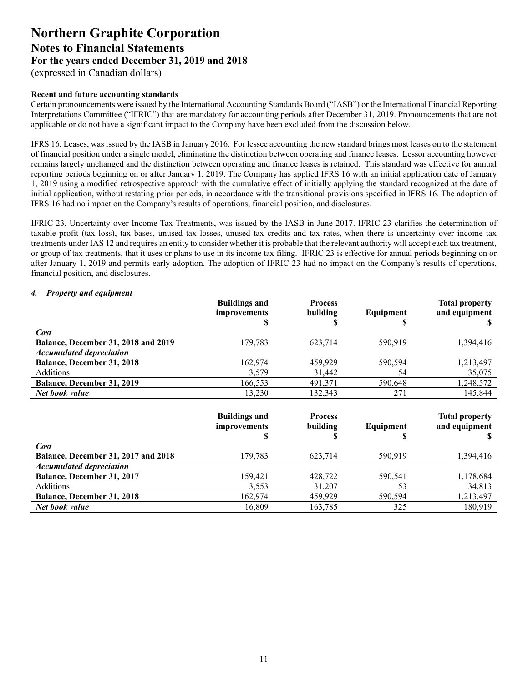(expressed in Canadian dollars)

#### **Recent and future accounting standards**

Certain pronouncements were issued by the International Accounting Standards Board ("IASB") or the International Financial Reporting Interpretations Committee ("IFRIC") that are mandatory for accounting periods after December 31, 2019. Pronouncements that are not applicable or do not have a significant impact to the Company have been excluded from the discussion below.

IFRS 16, Leases, was issued by the IASB in January 2016. For lessee accounting the new standard brings most leases on to the statement of financial position under a single model, eliminating the distinction between operating and finance leases. Lessor accounting however remains largely unchanged and the distinction between operating and finance leases is retained. This standard was effective for annual reporting periods beginning on or after January 1, 2019. The Company has applied IFRS 16 with an initial application date of January 1, 2019 using a modified retrospective approach with the cumulative effect of initially applying the standard recognized at the date of initial application, without restating prior periods, in accordance with the transitional provisions specified in IFRS 16. The adoption of IFRS 16 had no impact on the Company's results of operations, financial position, and disclosures.

IFRIC 23, Uncertainty over Income Tax Treatments, was issued by the IASB in June 2017. IFRIC 23 clarifies the determination of taxable profit (tax loss), tax bases, unused tax losses, unused tax credits and tax rates, when there is uncertainty over income tax treatments under IAS 12 and requires an entity to consider whether it is probable that the relevant authority will accept each tax treatment, or group of tax treatments, that it uses or plans to use in its income tax filing. IFRIC 23 is effective for annual periods beginning on or after January 1, 2019 and permits early adoption. The adoption of IFRIC 23 had no impact on the Company's results of operations, financial position, and disclosures.

#### *4. Property and equipment*

|                                     | <b>Buildings and</b> | <b>Process</b> |           | <b>Total property</b> |
|-------------------------------------|----------------------|----------------|-----------|-----------------------|
|                                     | improvements         | building       | Equipment | and equipment         |
|                                     |                      |                |           |                       |
| Cost                                |                      |                |           |                       |
| Balance, December 31, 2018 and 2019 | 179,783              | 623.714        | 590,919   | 1,394,416             |
| <b>Accumulated depreciation</b>     |                      |                |           |                       |
| <b>Balance, December 31, 2018</b>   | 162,974              | 459.929        | 590.594   | 1,213,497             |
| Additions                           | 3,579                | 31,442         | 54        | 35,075                |
| <b>Balance, December 31, 2019</b>   | 166,553              | 491.371        | 590,648   | 1,248,572             |
| Net book value                      | 13,230               | 132,343        | 271       | 145,844               |

|                                            | <b>Buildings and</b><br>improvements<br>S | <b>Process</b><br>building | Equipment | <b>Total property</b><br>and equipment |
|--------------------------------------------|-------------------------------------------|----------------------------|-----------|----------------------------------------|
| Cost                                       |                                           |                            |           |                                        |
| <b>Balance, December 31, 2017 and 2018</b> | 179,783                                   | 623.714                    | 590.919   | 1,394,416                              |
| <b>Accumulated depreciation</b>            |                                           |                            |           |                                        |
| <b>Balance, December 31, 2017</b>          | 159.421                                   | 428,722                    | 590,541   | 1,178,684                              |
| Additions                                  | 3.553                                     | 31,207                     | 53        | 34,813                                 |
| <b>Balance, December 31, 2018</b>          | 162,974                                   | 459,929                    | 590,594   | 1,213,497                              |
| Net book value                             | 16.809                                    | 163,785                    | 325       | 180.919                                |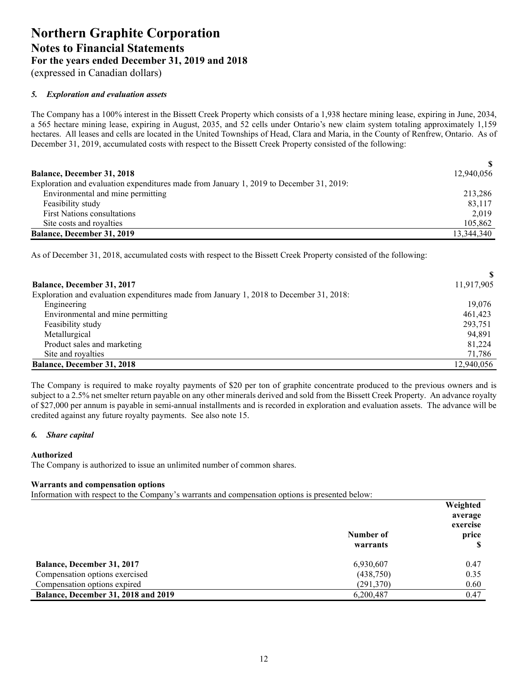## **Northern Graphite Corporation Notes to Financial Statements**

#### **For the years ended December 31, 2019 and 2018**

(expressed in Canadian dollars)

#### *5. Exploration and evaluation assets*

The Company has a 100% interest in the Bissett Creek Property which consists of a 1,938 hectare mining lease, expiring in June, 2034, a 565 hectare mining lease, expiring in August, 2035, and 52 cells under Ontario's new claim system totaling approximately 1,159 hectares. All leases and cells are located in the United Townships of Head, Clara and Maria, in the County of Renfrew, Ontario. As of December 31, 2019, accumulated costs with respect to the Bissett Creek Property consisted of the following:

| <b>Balance, December 31, 2018</b>                                                       | 12,940,056 |
|-----------------------------------------------------------------------------------------|------------|
| Exploration and evaluation expenditures made from January 1, 2019 to December 31, 2019: |            |
| Environmental and mine permitting                                                       | 213,286    |
| Feasibility study                                                                       | 83,117     |
| <b>First Nations consultations</b>                                                      | 2.019      |
| Site costs and royalties                                                                | 105,862    |
| <b>Balance, December 31, 2019</b>                                                       | 13,344,340 |

As of December 31, 2018, accumulated costs with respect to the Bissett Creek Property consisted of the following:

| <b>Balance, December 31, 2017</b>                                                       | 11,917,905 |
|-----------------------------------------------------------------------------------------|------------|
| Exploration and evaluation expenditures made from January 1, 2018 to December 31, 2018: |            |
| Engineering                                                                             | 19.076     |
| Environmental and mine permitting                                                       | 461,423    |
| Feasibility study                                                                       | 293,751    |
| Metallurgical                                                                           | 94,891     |
| Product sales and marketing                                                             | 81,224     |
| Site and royalties                                                                      | 71,786     |
| <b>Balance, December 31, 2018</b>                                                       | 12,940,056 |

The Company is required to make royalty payments of \$20 per ton of graphite concentrate produced to the previous owners and is subject to a 2.5% net smelter return payable on any other minerals derived and sold from the Bissett Creek Property. An advance royalty of \$27,000 per annum is payable in semi-annual installments and is recorded in exploration and evaluation assets. The advance will be credited against any future royalty payments. See also note 15.

#### *6. Share capital*

#### **Authorized**

The Company is authorized to issue an unlimited number of common shares.

#### **Warrants and compensation options**

Information with respect to the Company's warrants and compensation options is presented below:

|                                            |           | Weighted |
|--------------------------------------------|-----------|----------|
|                                            |           | average  |
|                                            |           | exercise |
|                                            | Number of | price    |
|                                            | warrants  | D        |
| Balance, December 31, 2017                 | 6,930,607 | 0.47     |
| Compensation options exercised             | (438,750) | 0.35     |
| Compensation options expired               | (291,370) | 0.60     |
| <b>Balance, December 31, 2018 and 2019</b> | 6,200,487 | 0.47     |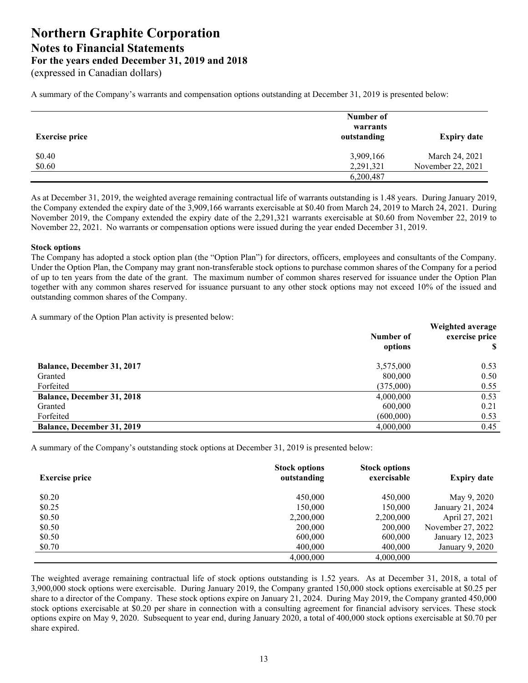(expressed in Canadian dollars)

A summary of the Company's warrants and compensation options outstanding at December 31, 2019 is presented below:

| <b>Exercise price</b> | Number of<br>warrants<br>outstanding | <b>Expiry date</b> |
|-----------------------|--------------------------------------|--------------------|
| \$0.40                | 3,909,166                            | March 24, 2021     |
| \$0.60                | 2,291,321                            | November 22, 2021  |
|                       | 6,200,487                            |                    |

As at December 31, 2019, the weighted average remaining contractual life of warrants outstanding is 1.48 years. During January 2019, the Company extended the expiry date of the 3,909,166 warrants exercisable at \$0.40 from March 24, 2019 to March 24, 2021. During November 2019, the Company extended the expiry date of the 2,291,321 warrants exercisable at \$0.60 from November 22, 2019 to November 22, 2021. No warrants or compensation options were issued during the year ended December 31, 2019.

#### **Stock options**

The Company has adopted a stock option plan (the "Option Plan") for directors, officers, employees and consultants of the Company. Under the Option Plan, the Company may grant non-transferable stock options to purchase common shares of the Company for a period of up to ten years from the date of the grant. The maximum number of common shares reserved for issuance under the Option Plan together with any common shares reserved for issuance pursuant to any other stock options may not exceed 10% of the issued and outstanding common shares of the Company.

A summary of the Option Plan activity is presented below:

|                                   | Number of<br>options | Weighted average<br>exercise price |
|-----------------------------------|----------------------|------------------------------------|
| <b>Balance, December 31, 2017</b> | 3,575,000            | 0.53                               |
| Granted                           | 800,000              | 0.50                               |
| Forfeited                         | (375,000)            | 0.55                               |
| <b>Balance, December 31, 2018</b> | 4,000,000            | 0.53                               |
| Granted                           | 600,000              | 0.21                               |
| Forfeited                         | (600,000)            | 0.53                               |
| <b>Balance, December 31, 2019</b> | 4,000,000            | 0.45                               |

A summary of the Company's outstanding stock options at December 31, 2019 is presented below:

| <b>Exercise price</b> | <b>Stock options</b><br>outstanding | <b>Stock options</b><br>exercisable | <b>Expiry date</b> |
|-----------------------|-------------------------------------|-------------------------------------|--------------------|
| \$0.20                | 450,000                             | 450,000                             | May 9, 2020        |
| \$0.25                | 150,000                             | 150,000                             | January 21, 2024   |
| \$0.50                | 2,200,000                           | 2,200,000                           | April 27, 2021     |
| \$0.50                | 200,000                             | 200,000                             | November 27, 2022  |
| \$0.50                | 600,000                             | 600,000                             | January 12, 2023   |
| \$0.70                | 400,000                             | 400,000                             | January 9, 2020    |
|                       | 4,000,000                           | 4,000,000                           |                    |

The weighted average remaining contractual life of stock options outstanding is 1.52 years. As at December 31, 2018, a total of 3,900,000 stock options were exercisable. During January 2019, the Company granted 150,000 stock options exercisable at \$0.25 per share to a director of the Company. These stock options expire on January 21, 2024. During May 2019, the Company granted 450,000 stock options exercisable at \$0.20 per share in connection with a consulting agreement for financial advisory services. These stock options expire on May 9, 2020. Subsequent to year end, during January 2020, a total of 400,000 stock options exercisable at \$0.70 per share expired.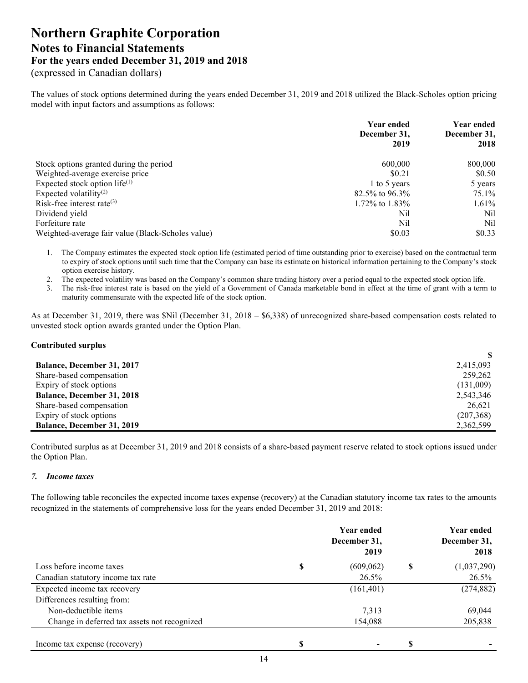#### (expressed in Canadian dollars)

The values of stock options determined during the years ended December 31, 2019 and 2018 utilized the Black-Scholes option pricing model with input factors and assumptions as follows:

|                                                   | Year ended<br>December 31,<br>2019 | Year ended<br>December 31,<br>2018 |
|---------------------------------------------------|------------------------------------|------------------------------------|
| Stock options granted during the period           | 600,000                            | 800,000                            |
| Weighted-average exercise price                   | \$0.21                             | \$0.50                             |
| Expected stock option life $(1)$                  | 1 to 5 years                       | 5 years                            |
| Expected volatility <sup>(2)</sup>                | $82.5\%$ to 96.3%                  | 75.1%                              |
| Risk-free interest rate $(3)$                     | 1.72\% to 1.83\%                   | 1.61%                              |
| Dividend yield                                    | Nil                                | Nil                                |
| Forfeiture rate                                   | Nil                                | Nil                                |
| Weighted-average fair value (Black-Scholes value) | \$0.03                             | \$0.33                             |

1. The Company estimates the expected stock option life (estimated period of time outstanding prior to exercise) based on the contractual term to expiry of stock options until such time that the Company can base its estimate on historical information pertaining to the Company's stock option exercise history.

2. The expected volatility was based on the Company's common share trading history over a period equal to the expected stock option life.

3. The risk-free interest rate is based on the yield of a Government of Canada marketable bond in effect at the time of grant with a term to maturity commensurate with the expected life of the stock option.

As at December 31, 2019, there was \$Nil (December 31, 2018 – \$6,338) of unrecognized share-based compensation costs related to unvested stock option awards granted under the Option Plan.

#### **Contributed surplus**

| <b>Balance, December 31, 2017</b> | 2,415,093  |
|-----------------------------------|------------|
| Share-based compensation          | 259,262    |
| Expiry of stock options           | (131,009)  |
| <b>Balance, December 31, 2018</b> | 2,543,346  |
| Share-based compensation          | 26,621     |
| Expiry of stock options           | (207, 368) |
| <b>Balance, December 31, 2019</b> | 2,362,599  |

Contributed surplus as at December 31, 2019 and 2018 consists of a share-based payment reserve related to stock options issued under the Option Plan.

#### *7. Income taxes*

The following table reconciles the expected income taxes expense (recovery) at the Canadian statutory income tax rates to the amounts recognized in the statements of comprehensive loss for the years ended December 31, 2019 and 2018:

|                                              |   | Year ended<br>December 31,<br>2019 |   | Year ended<br>December 31,<br>2018 |
|----------------------------------------------|---|------------------------------------|---|------------------------------------|
| Loss before income taxes                     | S | (609,062)                          | S | (1,037,290)                        |
| Canadian statutory income tax rate           |   | 26.5%                              |   | 26.5%                              |
| Expected income tax recovery                 |   | (161, 401)                         |   | (274, 882)                         |
| Differences resulting from:                  |   |                                    |   |                                    |
| Non-deductible items                         |   | 7,313                              |   | 69,044                             |
| Change in deferred tax assets not recognized |   | 154,088                            |   | 205,838                            |
|                                              |   |                                    |   |                                    |
| Income tax expense (recovery)                | S |                                    | S |                                    |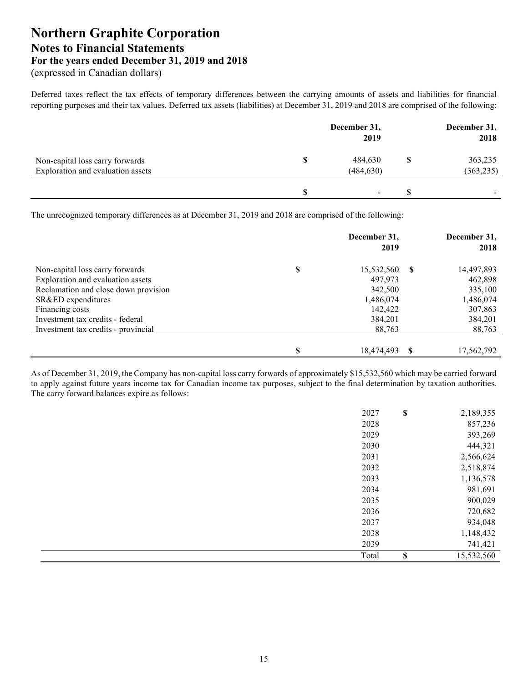### **Northern Graphite Corporation Notes to Financial Statements For the years ended December 31, 2019 and 2018** (expressed in Canadian dollars)

Deferred taxes reflect the tax effects of temporary differences between the carrying amounts of assets and liabilities for financial reporting purposes and their tax values. Deferred tax assets (liabilities) at December 31, 2019 and 2018 are comprised of the following:

|                                                                      |   | December 31,<br>2019  | December 31,<br>2018        |
|----------------------------------------------------------------------|---|-----------------------|-----------------------------|
| Non-capital loss carry forwards<br>Exploration and evaluation assets | S | 484,630<br>(484, 630) | \$<br>363,235<br>(363, 235) |
|                                                                      |   | $\,$                  |                             |

The unrecognized temporary differences as at December 31, 2019 and 2018 are comprised of the following:

|                                      | December 31,<br>2019 |    | December 31,<br>2018 |
|--------------------------------------|----------------------|----|----------------------|
| Non-capital loss carry forwards      | \$<br>15,532,560     | -S | 14,497,893           |
| Exploration and evaluation assets    | 497,973              |    | 462,898              |
| Reclamation and close down provision | 342,500              |    | 335,100              |
| SR&ED expenditures                   | 1,486,074            |    | 1,486,074            |
| Financing costs                      | 142,422              |    | 307,863              |
| Investment tax credits - federal     | 384,201              |    | 384,201              |
| Investment tax credits - provincial  | 88,763               |    | 88,763               |
|                                      | \$<br>18,474,493     | S  | 17,562,792           |

As of December 31, 2019, the Company has non-capital loss carry forwards of approximately \$15,532,560 which may be carried forward to apply against future years income tax for Canadian income tax purposes, subject to the final determination by taxation authorities. The carry forward balances expire as follows:

| Total | \$          | 15,532,560 |
|-------|-------------|------------|
| 2039  |             | 741,421    |
| 2038  |             | 1,148,432  |
| 2037  |             | 934,048    |
| 2036  |             | 720,682    |
| 2035  |             | 900,029    |
| 2034  |             | 981,691    |
| 2033  |             | 1,136,578  |
| 2032  |             | 2,518,874  |
| 2031  |             | 2,566,624  |
| 2030  |             | 444,321    |
| 2029  |             | 393,269    |
| 2028  |             | 857,236    |
| 2027  | $\mathbb S$ | 2,189,355  |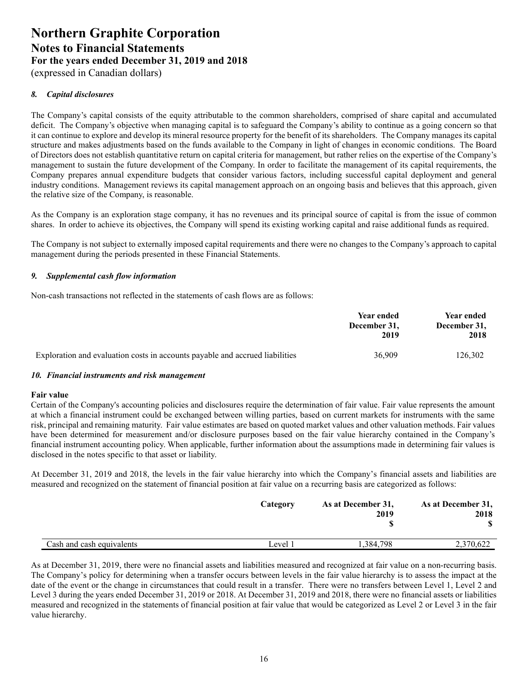(expressed in Canadian dollars)

#### *8. Capital disclosures*

The Company's capital consists of the equity attributable to the common shareholders, comprised of share capital and accumulated deficit. The Company's objective when managing capital is to safeguard the Company's ability to continue as a going concern so that it can continue to explore and develop its mineral resource property for the benefit of its shareholders. The Company manages its capital structure and makes adjustments based on the funds available to the Company in light of changes in economic conditions. The Board of Directors does not establish quantitative return on capital criteria for management, but rather relies on the expertise of the Company's management to sustain the future development of the Company. In order to facilitate the management of its capital requirements, the Company prepares annual expenditure budgets that consider various factors, including successful capital deployment and general industry conditions. Management reviews its capital management approach on an ongoing basis and believes that this approach, given the relative size of the Company, is reasonable.

As the Company is an exploration stage company, it has no revenues and its principal source of capital is from the issue of common shares. In order to achieve its objectives, the Company will spend its existing working capital and raise additional funds as required.

The Company is not subject to externally imposed capital requirements and there were no changes to the Company's approach to capital management during the periods presented in these Financial Statements.

#### *9. Supplemental cash flow information*

Non-cash transactions not reflected in the statements of cash flows are as follows:

|                                                                              | Year ended<br>December 31,<br>2019 | Year ended<br>December 31,<br>2018 |
|------------------------------------------------------------------------------|------------------------------------|------------------------------------|
| Exploration and evaluation costs in accounts payable and accrued liabilities | 36,909                             | 126,302                            |

#### *10. Financial instruments and risk management*

#### **Fair value**

Certain of the Company's accounting policies and disclosures require the determination of fair value. Fair value represents the amount at which a financial instrument could be exchanged between willing parties, based on current markets for instruments with the same risk, principal and remaining maturity. Fair value estimates are based on quoted market values and other valuation methods. Fair values have been determined for measurement and/or disclosure purposes based on the fair value hierarchy contained in the Company's financial instrument accounting policy. When applicable, further information about the assumptions made in determining fair values is disclosed in the notes specific to that asset or liability.

At December 31, 2019 and 2018, the levels in the fair value hierarchy into which the Company's financial assets and liabilities are measured and recognized on the statement of financial position at fair value on a recurring basis are categorized as follows:

|                           | Category | As at December 31,<br>2019 | As at December 31,<br>2018 |
|---------------------------|----------|----------------------------|----------------------------|
|                           |          |                            |                            |
| Cash and cash equivalents | Level 1  | ,384,798                   | 2,370,622                  |

As at December 31, 2019, there were no financial assets and liabilities measured and recognized at fair value on a non-recurring basis. The Company's policy for determining when a transfer occurs between levels in the fair value hierarchy is to assess the impact at the date of the event or the change in circumstances that could result in a transfer. There were no transfers between Level 1, Level 2 and Level 3 during the years ended December 31, 2019 or 2018. At December 31, 2019 and 2018, there were no financial assets or liabilities measured and recognized in the statements of financial position at fair value that would be categorized as Level 2 or Level 3 in the fair value hierarchy.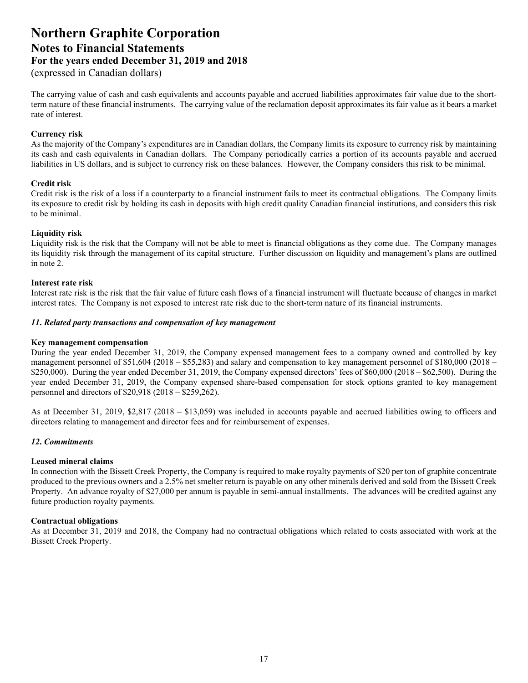(expressed in Canadian dollars)

The carrying value of cash and cash equivalents and accounts payable and accrued liabilities approximates fair value due to the shortterm nature of these financial instruments. The carrying value of the reclamation deposit approximates its fair value as it bears a market rate of interest.

#### **Currency risk**

As the majority of the Company's expenditures are in Canadian dollars, the Company limits its exposure to currency risk by maintaining its cash and cash equivalents in Canadian dollars. The Company periodically carries a portion of its accounts payable and accrued liabilities in US dollars, and is subject to currency risk on these balances. However, the Company considers this risk to be minimal.

#### **Credit risk**

Credit risk is the risk of a loss if a counterparty to a financial instrument fails to meet its contractual obligations. The Company limits its exposure to credit risk by holding its cash in deposits with high credit quality Canadian financial institutions, and considers this risk to be minimal.

#### **Liquidity risk**

Liquidity risk is the risk that the Company will not be able to meet is financial obligations as they come due. The Company manages its liquidity risk through the management of its capital structure. Further discussion on liquidity and management's plans are outlined in note 2.

#### **Interest rate risk**

Interest rate risk is the risk that the fair value of future cash flows of a financial instrument will fluctuate because of changes in market interest rates. The Company is not exposed to interest rate risk due to the short-term nature of its financial instruments.

#### *11***.** *Related party transactions and compensation of key management*

#### **Key management compensation**

During the year ended December 31, 2019, the Company expensed management fees to a company owned and controlled by key management personnel of \$51,604 (2018 – \$55,283) and salary and compensation to key management personnel of \$180,000 (2018 – \$250,000). During the year ended December 31, 2019, the Company expensed directors' fees of \$60,000 (2018 – \$62,500). During the year ended December 31, 2019, the Company expensed share-based compensation for stock options granted to key management personnel and directors of \$20,918 (2018 – \$259,262).

As at December 31, 2019, \$2,817 (2018 – \$13,059) was included in accounts payable and accrued liabilities owing to officers and directors relating to management and director fees and for reimbursement of expenses.

#### *12***.** *Commitments*

#### **Leased mineral claims**

In connection with the Bissett Creek Property, the Company is required to make royalty payments of \$20 per ton of graphite concentrate produced to the previous owners and a 2.5% net smelter return is payable on any other minerals derived and sold from the Bissett Creek Property. An advance royalty of \$27,000 per annum is payable in semi-annual installments. The advances will be credited against any future production royalty payments.

#### **Contractual obligations**

As at December 31, 2019 and 2018, the Company had no contractual obligations which related to costs associated with work at the Bissett Creek Property.